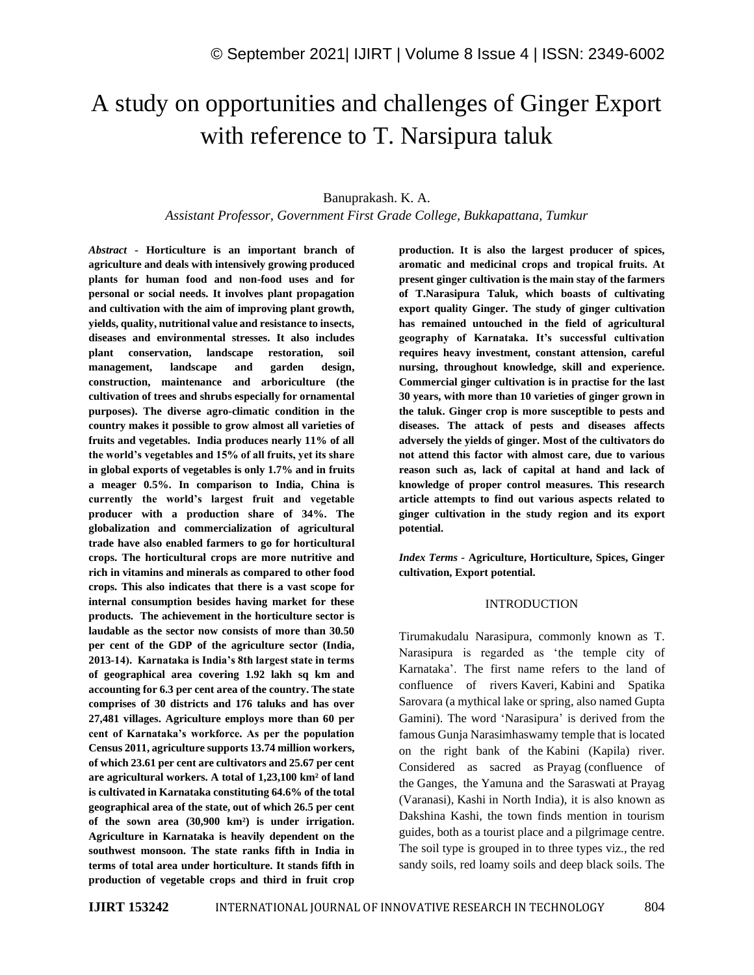# A study on opportunities and challenges of Ginger Export with reference to T. Narsipura taluk

### Banuprakash. K. A.

*Assistant Professor, Government First Grade College, Bukkapattana, Tumkur*

*Abstract -* **Horticulture is an important branch of agriculture and deals with intensively growing produced plants for human food and non-food uses and for personal or social needs. It involves plant propagation and cultivation with the aim of improving plant growth, yields, quality, nutritional value and resistance to insects, diseases and environmental stresses. It also includes plant conservation, landscape restoration, soil management, landscape and garden design, construction, maintenance and arboriculture (the cultivation of trees and shrubs especially for ornamental purposes). The diverse agro-climatic condition in the country makes it possible to grow almost all varieties of fruits and vegetables. India produces nearly 11% of all the world's vegetables and 15% of all fruits, yet its share in global exports of vegetables is only 1.7% and in fruits a meager 0.5%. In comparison to India, China is currently the world's largest fruit and vegetable producer with a production share of 34%. The globalization and commercialization of agricultural trade have also enabled farmers to go for horticultural crops. The horticultural crops are more nutritive and rich in vitamins and minerals as compared to other food crops. This also indicates that there is a vast scope for internal consumption besides having market for these products. The achievement in the horticulture sector is laudable as the sector now consists of more than 30.50 per cent of the GDP of the agriculture sector (India, 2013-14). Karnataka is India's 8th largest state in terms of geographical area covering 1.92 lakh sq km and accounting for 6.3 per cent area of the country. The state comprises of 30 districts and 176 taluks and has over 27,481 villages. Agriculture employs more than 60 per cent of Karnataka's workforce. As per the population Census 2011, agriculture supports 13.74 million workers, of which 23.61 per cent are cultivators and 25.67 per cent are agricultural workers. A total of 1,23,100 km² of land is cultivated in Karnataka constituting 64.6% of the total geographical area of the state, out of which 26.5 per cent of the sown area (30,900 km²) is under irrigation. Agriculture in Karnataka is heavily dependent on the southwest monsoon. The state ranks fifth in India in terms of total area under horticulture. It stands fifth in production of vegetable crops and third in fruit crop**  **production. It is also the largest producer of spices, aromatic and medicinal crops and tropical fruits. At present ginger cultivation is the main stay of the farmers of T.Narasipura Taluk, which boasts of cultivating export quality Ginger. The study of ginger cultivation has remained untouched in the field of agricultural geography of Karnataka. It's successful cultivation requires heavy investment, constant attension, careful nursing, throughout knowledge, skill and experience. Commercial ginger cultivation is in practise for the last 30 years, with more than 10 varieties of ginger grown in the taluk. Ginger crop is more susceptible to pests and diseases. The attack of pests and diseases affects adversely the yields of ginger. Most of the cultivators do not attend this factor with almost care, due to various reason such as, lack of capital at hand and lack of knowledge of proper control measures. This research article attempts to find out various aspects related to ginger cultivation in the study region and its export potential.**

*Index Terms -* **Agriculture, Horticulture, Spices, Ginger cultivation, Export potential.**

#### INTRODUCTION

Tirumakudalu Narasipura, commonly known as T. Narasipura is regarded as 'the temple city of Karnataka'. The first name refers to the land of confluence of rivers Kaveri, Kabini and Spatika Sarovara (a mythical lake or spring, also named Gupta Gamini). The word 'Narasipura' is derived from the famous Gunja Narasimhaswamy temple that is located on the right bank of the Kabini (Kapila) river. Considered as sacred as Prayag (confluence of the Ganges, the Yamuna and the Saraswati at Prayag (Varanasi), Kashi in North India), it is also known as Dakshina Kashi, the town finds mention in tourism guides, both as a tourist place and a pilgrimage centre. The soil type is grouped in to three types viz., the red sandy soils, red loamy soils and deep black soils. The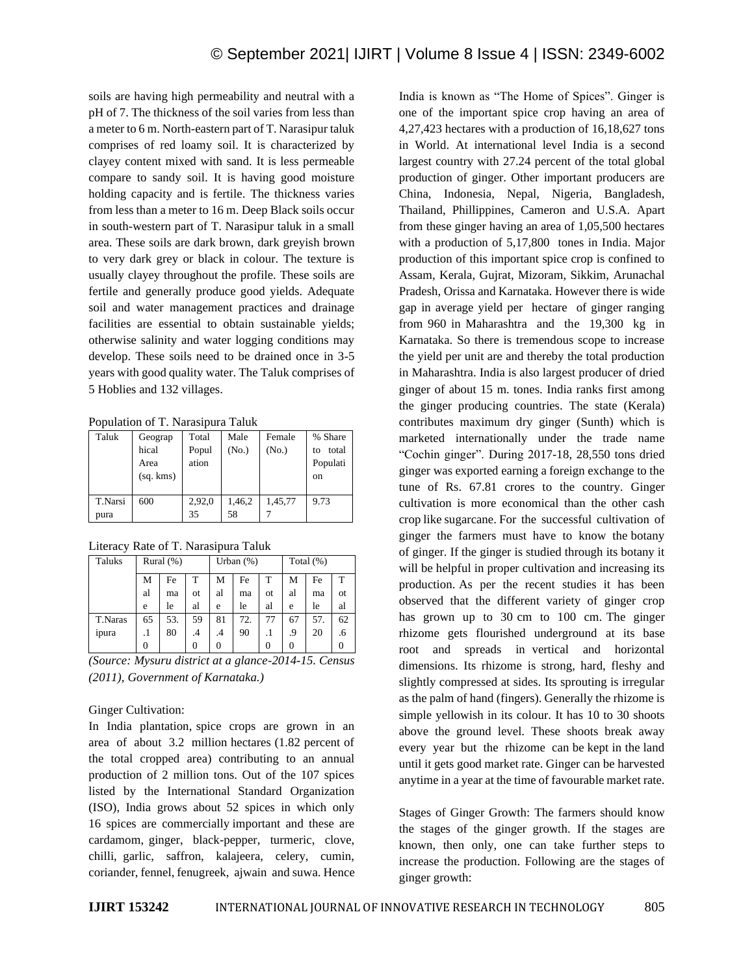soils are having high permeability and neutral with a pH of 7. The thickness of the soil varies from less than a meter to 6 m. North-eastern part of T. Narasipur taluk comprises of red loamy soil. It is characterized by clayey content mixed with sand. It is less permeable compare to sandy soil. It is having good moisture holding capacity and is fertile. The thickness varies from less than a meter to 16 m. Deep Black soils occur in south-western part of T. Narasipur taluk in a small area. These soils are dark brown, dark greyish brown to very dark grey or black in colour. The texture is usually clayey throughout the profile. These soils are fertile and generally produce good yields. Adequate soil and water management practices and drainage facilities are essential to obtain sustainable yields; otherwise salinity and water logging conditions may develop. These soils need to be drained once in 3-5 years with good quality water. The Taluk comprises of 5 Hoblies and 132 villages.

Population of T. Narasipura Taluk

| Taluk           | Geograp<br>hical<br>Area<br>(sq, kms) | Total<br>Popul<br>ation | Male<br>(No.) | Female<br>(No.) | % Share<br>total<br>to<br>Populati<br>on |
|-----------------|---------------------------------------|-------------------------|---------------|-----------------|------------------------------------------|
| T.Narsi<br>pura | 600                                   | 2,92,0<br>35            | 1,46,2<br>58  | 1,45,77         | 9.73                                     |

Literacy Rate of T. Narasipura Taluk

| Taluks  | Rural $(\%)$ |     |               | Urban $(\%)$ |     |           | Total $(\%)$ |     |    |
|---------|--------------|-----|---------------|--------------|-----|-----------|--------------|-----|----|
|         | M            | Fe  | T             | М            | Fe  | т         | М            | Fe  | т  |
|         | al           | ma  | <sub>ot</sub> | al           | ma  | <b>ot</b> | al           | ma  | 0t |
|         | e            | le  | al            | e            | le  | al        | e            | le  | al |
| T.Naras | 65           | 53. | 59            | 81           | 72. | 77        | 67           | 57. | 62 |
| ipura   | .1           | 80  | $\cdot$       | .4           | 90  |           | .9           | 20  | .6 |
|         | 0            |     | $\Omega$      | 0            |     | $\theta$  |              |     |    |

*(Source: Mysuru district at a glance-2014-15. Census (2011), Government of Karnataka.)*

### Ginger Cultivation:

In India plantation, spice crops are grown in an area of about 3.2 million hectares (1.82 percent of the total cropped area) contributing to an annual production of 2 million tons. Out of the 107 spices listed by the International Standard Organization (ISO), India grows about 52 spices in which only 16 spices are commercially important and these are cardamom, ginger, black-pepper, turmeric, clove, chilli, garlic, saffron, kalajeera, celery, cumin, coriander, fennel, fenugreek, ajwain and suwa. Hence India is known as "The Home of Spices". Ginger is one of the important spice crop having an area of 4,27,423 hectares with a production of 16,18,627 tons in World. At international level India is a second largest country with 27.24 percent of the total global production of ginger. Other important producers are China, Indonesia, Nepal, Nigeria, Bangladesh, Thailand, Phillippines, Cameron and U.S.A. Apart from these ginger having an area of 1,05,500 hectares with a production of 5,17,800 tones in India. Major production of this important spice crop is confined to Assam, Kerala, Gujrat, Mizoram, Sikkim, Arunachal Pradesh, Orissa and Karnataka. However there is wide gap in average yield per hectare of ginger ranging from 960 in Maharashtra and the 19,300 kg in Karnataka. So there is tremendous scope to increase the yield per unit are and thereby the total production in Maharashtra. India is also largest producer of dried ginger of about 15 m. tones. India ranks first among the ginger producing countries. The state (Kerala) contributes maximum dry ginger (Sunth) which is marketed internationally under the trade name "Cochin ginger". During 2017-18, 28,550 tons dried ginger was exported earning a foreign exchange to the tune of Rs. 67.81 crores to the country. Ginger cultivation is more economical than the other cash crop like sugarcane. For the successful cultivation of ginger the farmers must have to know the botany of ginger. If the ginger is studied through its botany it will be helpful in proper cultivation and increasing its production. As per the recent studies it has been observed that the different variety of ginger crop has grown up to 30 cm to 100 cm. The ginger rhizome gets flourished underground at its base root and spreads in vertical and horizontal dimensions. Its rhizome is strong, hard, fleshy and slightly compressed at sides. Its sprouting is irregular as the palm of hand (fingers). Generally the rhizome is simple yellowish in its colour. It has 10 to 30 shoots above the ground level. These shoots break away every year but the rhizome can be kept in the land until it gets good market rate. Ginger can be harvested anytime in a year at the time of favourable market rate.

Stages of Ginger Growth: The farmers should know the stages of the ginger growth. If the stages are known, then only, one can take further steps to increase the production. Following are the stages of ginger growth: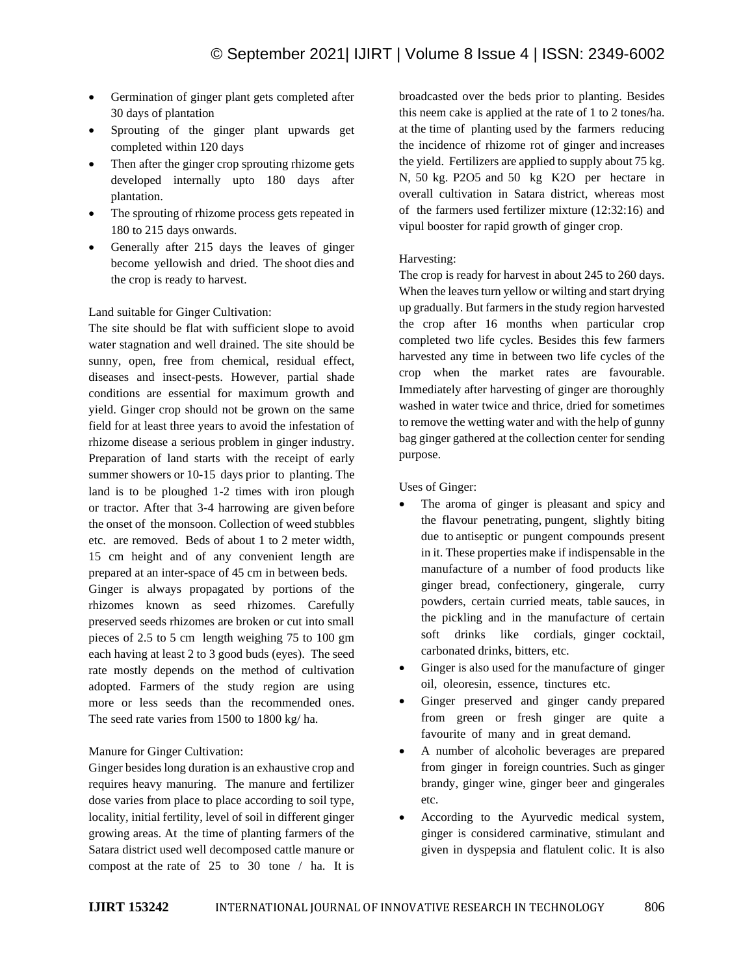- Germination of ginger plant gets completed after 30 days of plantation
- Sprouting of the ginger plant upwards get completed within 120 days
- Then after the ginger crop sprouting rhizome gets developed internally upto 180 days after plantation.
- The sprouting of rhizome process gets repeated in 180 to 215 days onwards.
- Generally after 215 days the leaves of ginger become yellowish and dried. The shoot dies and the crop is ready to harvest.

### Land suitable for Ginger Cultivation:

The site should be flat with sufficient slope to avoid water stagnation and well drained. The site should be sunny, open, free from chemical, residual effect, diseases and insect-pests. However, partial shade conditions are essential for maximum growth and yield. Ginger crop should not be grown on the same field for at least three years to avoid the infestation of rhizome disease a serious problem in ginger industry. Preparation of land starts with the receipt of early summer showers or 10-15 days prior to planting. The land is to be ploughed 1-2 times with iron plough or tractor. After that 3-4 harrowing are given before the onset of the monsoon. Collection of weed stubbles etc. are removed. Beds of about 1 to 2 meter width, 15 cm height and of any convenient length are prepared at an inter-space of 45 cm in between beds. Ginger is always propagated by portions of the rhizomes known as seed rhizomes. Carefully preserved seeds rhizomes are broken or cut into small pieces of 2.5 to 5 cm length weighing 75 to 100 gm each having at least 2 to 3 good buds (eyes). The seed rate mostly depends on the method of cultivation adopted. Farmers of the study region are using more or less seeds than the recommended ones. The seed rate varies from 1500 to 1800 kg/ ha.

## Manure for Ginger Cultivation:

Ginger besides long duration is an exhaustive crop and requires heavy manuring. The manure and fertilizer dose varies from place to place according to soil type, locality, initial fertility, level of soil in different ginger growing areas. At the time of planting farmers of the Satara district used well decomposed cattle manure or compost at the rate of 25 to 30 tone / ha. It is broadcasted over the beds prior to planting. Besides this neem cake is applied at the rate of 1 to 2 tones/ha. at the time of planting used by the farmers reducing the incidence of rhizome rot of ginger and increases the yield. Fertilizers are applied to supply about 75 kg. N, 50 kg. P2O5 and 50 kg K2O per hectare in overall cultivation in Satara district, whereas most of the farmers used fertilizer mixture (12:32:16) and vipul booster for rapid growth of ginger crop.

## Harvesting:

The crop is ready for harvest in about 245 to 260 days. When the leaves turn yellow or wilting and start drying up gradually. But farmers in the study region harvested the crop after 16 months when particular crop completed two life cycles. Besides this few farmers harvested any time in between two life cycles of the crop when the market rates are favourable. Immediately after harvesting of ginger are thoroughly washed in water twice and thrice, dried for sometimes to remove the wetting water and with the help of gunny bag ginger gathered at the collection center for sending purpose.

Uses of Ginger:

- The aroma of ginger is pleasant and spicy and the flavour penetrating, pungent, slightly biting due to antiseptic or pungent compounds present in it. These properties make if indispensable in the manufacture of a number of food products like ginger bread, confectionery, gingerale, curry powders, certain curried meats, table sauces, in the pickling and in the manufacture of certain soft drinks like cordials, ginger cocktail, carbonated drinks, bitters, etc.
- Ginger is also used for the manufacture of ginger oil, oleoresin, essence, tinctures etc.
- Ginger preserved and ginger candy prepared from green or fresh ginger are quite a favourite of many and in great demand.
- A number of alcoholic beverages are prepared from ginger in foreign countries. Such as ginger brandy, ginger wine, ginger beer and gingerales etc.
- According to the Ayurvedic medical system, ginger is considered carminative, stimulant and given in dyspepsia and flatulent colic. It is also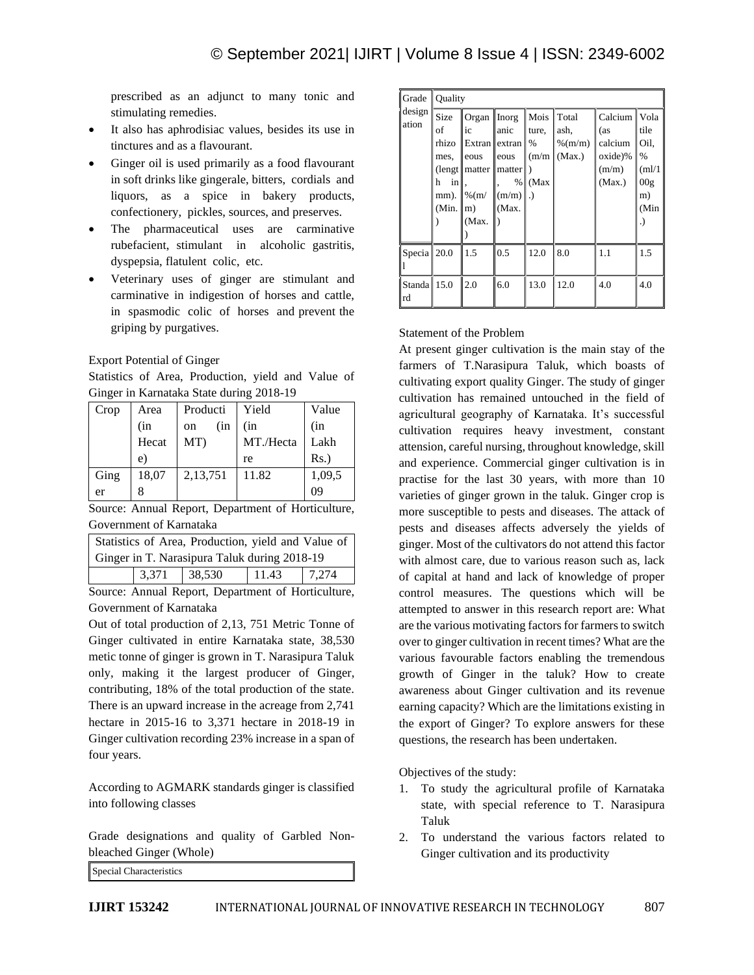prescribed as an adjunct to many tonic and stimulating remedies.

- It also has aphrodisiac values, besides its use in tinctures and as a flavourant.
- Ginger oil is used primarily as a food flavourant in soft drinks like gingerale, bitters, cordials and liquors, as a spice in bakery products, confectionery, pickles, sources, and preserves.
- The pharmaceutical uses are carminative rubefacient, stimulant in alcoholic gastritis, dyspepsia, flatulent colic, etc.
- Veterinary uses of ginger are stimulant and carminative in indigestion of horses and cattle, in spasmodic colic of horses and prevent the griping by purgatives.

Export Potential of Ginger

Statistics of Area, Production, yield and Value of Ginger in Karnataka State during 2018-19

| Crop | Area  | Producti             | Yield     | Value  |
|------|-------|----------------------|-----------|--------|
|      | (in   | (in<br><sub>on</sub> | (in       | (in    |
|      | Hecat | MT)                  | MT./Hecta | Lakh   |
|      | e.    |                      | re        | Rs.)   |
| Ging | 18,07 | 2,13,751             | 11.82     | 1,09,5 |
| er   |       |                      |           | 09     |

Source: Annual Report, Department of Horticulture, Government of Karnataka

| Statistics of Area, Production, yield and Value of |       |        |       |        |  |  |
|----------------------------------------------------|-------|--------|-------|--------|--|--|
| Ginger in T. Narasipura Taluk during 2018-19       |       |        |       |        |  |  |
|                                                    | 3,371 | 38,530 | 11.43 | 17.274 |  |  |

Source: Annual Report, Department of Horticulture, Government of Karnataka

Out of total production of 2,13, 751 Metric Tonne of Ginger cultivated in entire Karnataka state, 38,530 metic tonne of ginger is grown in T. Narasipura Taluk only, making it the largest producer of Ginger, contributing, 18% of the total production of the state. There is an upward increase in the acreage from 2,741 hectare in 2015-16 to 3,371 hectare in 2018-19 in Ginger cultivation recording 23% increase in a span of four years.

According to AGMARK standards ginger is classified into following classes

Grade designations and quality of Garbled Nonbleached Ginger (Whole)

Special Characteristics

| Grade             | Ouality                                                  |                                                                                           |                                                      |                                     |                                      |                                                                |                                                                         |  |
|-------------------|----------------------------------------------------------|-------------------------------------------------------------------------------------------|------------------------------------------------------|-------------------------------------|--------------------------------------|----------------------------------------------------------------|-------------------------------------------------------------------------|--|
| design<br>ation   | Size<br>of<br>rhizo<br>mes,<br>h<br>inl<br>mm).<br>(Min. | Organ Inorg<br>ic<br>eous<br>$\left($ lengt    matter    matter<br>$%$ (m/<br>m)<br>(Max. | anic<br>Extran extran<br>eous<br>%<br>(m/m)<br>(Max. | Mois Total<br>ture,<br>$\%$<br>(Max | ash,<br>$\%$ (m/m)<br>$(m/m)$ (Max.) | Calcium<br>(as<br>calcium<br>$o$ xide $)\%$<br>(m/m)<br>(Max.) | Vola<br>tile<br>Oil,<br>$\%$<br>(ml/1)<br>00 <sub>g</sub><br>m)<br>(Min |  |
| Specia 20.0       |                                                          | 1.5                                                                                       | 0.5                                                  | 12.0                                | 8.0                                  | 1.1                                                            | 1.5                                                                     |  |
| Standa 15.0<br>rd |                                                          | 2.0                                                                                       | 6.0                                                  | 13.0                                | 12.0                                 | 4.0                                                            | 4.0                                                                     |  |

Statement of the Problem

At present ginger cultivation is the main stay of the farmers of T.Narasipura Taluk, which boasts of cultivating export quality Ginger. The study of ginger cultivation has remained untouched in the field of agricultural geography of Karnataka. It's successful cultivation requires heavy investment, constant attension, careful nursing, throughout knowledge, skill and experience. Commercial ginger cultivation is in practise for the last 30 years, with more than 10 varieties of ginger grown in the taluk. Ginger crop is more susceptible to pests and diseases. The attack of pests and diseases affects adversely the yields of ginger. Most of the cultivators do not attend this factor with almost care, due to various reason such as, lack of capital at hand and lack of knowledge of proper control measures. The questions which will be attempted to answer in this research report are: What are the various motivating factors for farmers to switch over to ginger cultivation in recent times? What are the various favourable factors enabling the tremendous growth of Ginger in the taluk? How to create awareness about Ginger cultivation and its revenue earning capacity? Which are the limitations existing in the export of Ginger? To explore answers for these questions, the research has been undertaken.

Objectives of the study:

- 1. To study the agricultural profile of Karnataka state, with special reference to T. Narasipura Taluk
- 2. To understand the various factors related to Ginger cultivation and its productivity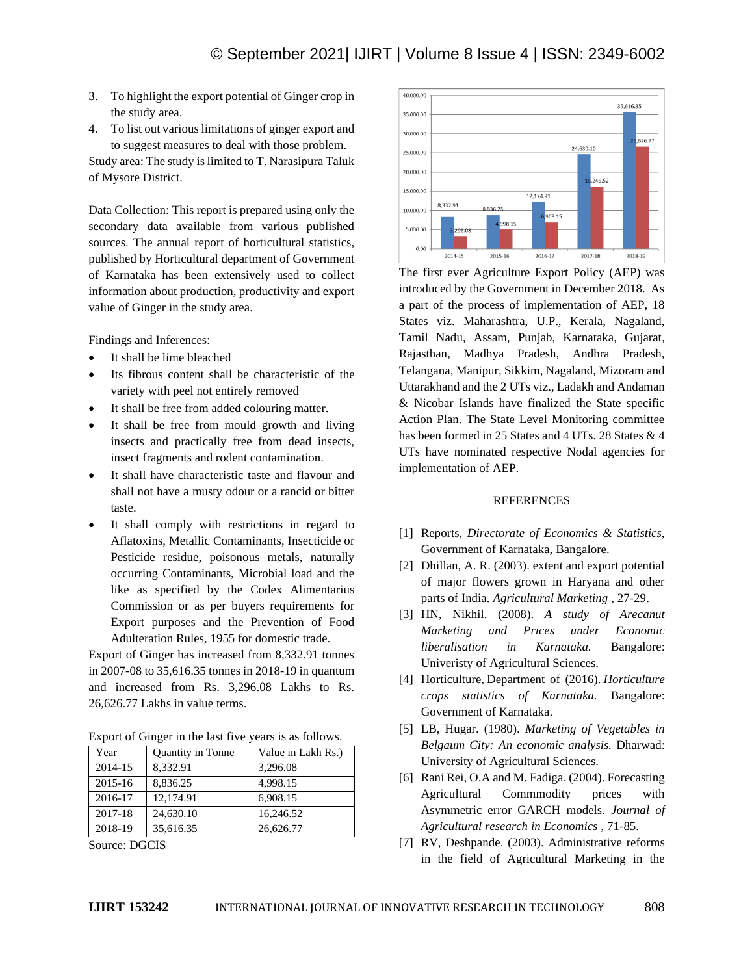- 3. To highlight the export potential of Ginger crop in the study area.
- 4. To list out various limitations of ginger export and to suggest measures to deal with those problem.

Study area: The study is limited to T. Narasipura Taluk of Mysore District.

Data Collection: This report is prepared using only the secondary data available from various published sources. The annual report of horticultural statistics, published by Horticultural department of Government of Karnataka has been extensively used to collect information about production, productivity and export value of Ginger in the study area.

Findings and Inferences:

- It shall be lime bleached
- Its fibrous content shall be characteristic of the variety with peel not entirely removed
- It shall be free from added colouring matter.
- It shall be free from mould growth and living insects and practically free from dead insects, insect fragments and rodent contamination.
- It shall have characteristic taste and flavour and shall not have a musty odour or a rancid or bitter taste.
- It shall comply with restrictions in regard to Aflatoxins, Metallic Contaminants, Insecticide or Pesticide residue, poisonous metals, naturally occurring Contaminants, Microbial load and the like as specified by the Codex Alimentarius Commission or as per buyers requirements for Export purposes and the Prevention of Food Adulteration Rules, 1955 for domestic trade.

Export of Ginger has increased from 8,332.91 tonnes in 2007-08 to 35,616.35 tonnes in 2018-19 in quantum and increased from Rs. 3,296.08 Lakhs to Rs. 26,626.77 Lakhs in value terms.

Export of Ginger in the last five years is as follows.

| Year    | <b>Quantity in Tonne</b> | Value in Lakh Rs.) |
|---------|--------------------------|--------------------|
| 2014-15 | 8.332.91                 | 3,296.08           |
| 2015-16 | 8.836.25                 | 4,998.15           |
| 2016-17 | 12,174.91                | 6,908.15           |
| 2017-18 | 24,630.10                | 16,246.52          |
| 2018-19 | 35,616.35                | 26,626.77          |

Source: DGCIS



The first ever Agriculture Export Policy (AEP) was introduced by the Government in December 2018. As a part of the process of implementation of AEP, 18 States viz. Maharashtra, U.P., Kerala, Nagaland, Tamil Nadu, Assam, Punjab, Karnataka, Gujarat, Rajasthan, Madhya Pradesh, Andhra Pradesh, Telangana, Manipur, Sikkim, Nagaland, Mizoram and Uttarakhand and the 2 UTs viz., Ladakh and Andaman & Nicobar Islands have finalized the State specific Action Plan. The State Level Monitoring committee has been formed in 25 States and 4 UTs, 28 States & 4 UTs have nominated respective Nodal agencies for implementation of AEP.

#### REFERENCES

- [1] Reports, *Directorate of Economics & Statistics*, Government of Karnataka, Bangalore.
- [2] Dhillan, A. R. (2003). extent and export potential of major flowers grown in Haryana and other parts of India. *Agricultural Marketing* , 27-29.
- [3] HN, Nikhil. (2008). *A study of Arecanut Marketing and Prices under Economic liberalisation in Karnataka.* Bangalore: Univeristy of Agricultural Sciences.
- [4] Horticulture, Department of (2016). *Horticulture crops statistics of Karnataka.* Bangalore: Government of Karnataka.
- [5] LB, Hugar. (1980). *Marketing of Vegetables in Belgaum City: An economic analysis.* Dharwad: University of Agricultural Sciences.
- [6] Rani Rei, O.A and M. Fadiga. (2004). Forecasting Agricultural Commmodity prices with Asymmetric error GARCH models. *Journal of Agricultural research in Economics* , 71-85.
- [7] RV, Deshpande. (2003). Administrative reforms in the field of Agricultural Marketing in the